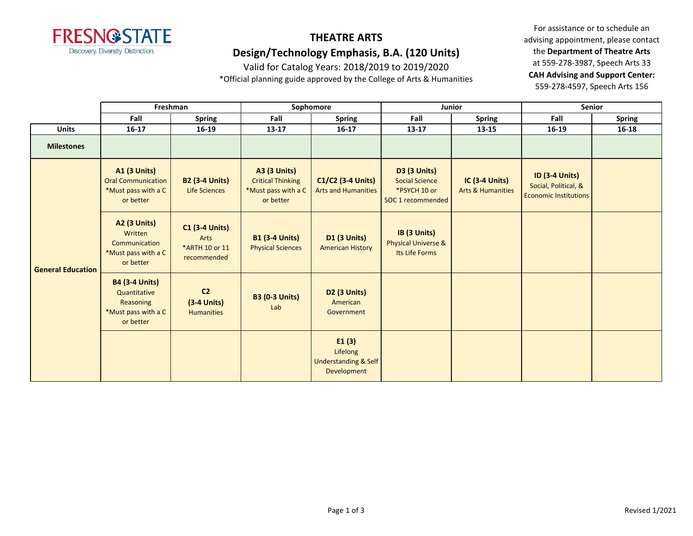

Valid for Catalog Years: 2018/2019 to 2019/2020

\*Official planning guide approved by the College of Arts & Humanities

|                          |                                                                                        | Freshman                                                       | Sophomore                                                                           |                                                                     | Junior                                                                            |                                                       | <b>Senior</b>                                                                 |               |
|--------------------------|----------------------------------------------------------------------------------------|----------------------------------------------------------------|-------------------------------------------------------------------------------------|---------------------------------------------------------------------|-----------------------------------------------------------------------------------|-------------------------------------------------------|-------------------------------------------------------------------------------|---------------|
|                          | Fall                                                                                   | <b>Spring</b>                                                  | Fall                                                                                | <b>Spring</b>                                                       | Fall                                                                              | <b>Spring</b>                                         | Fall                                                                          | <b>Spring</b> |
| <b>Units</b>             | $16 - 17$                                                                              | $16 - 19$                                                      | 13-17                                                                               | $16 - 17$                                                           | $13 - 17$                                                                         | 13-15                                                 | 16-19                                                                         | $16 - 18$     |
| <b>Milestones</b>        |                                                                                        |                                                                |                                                                                     |                                                                     |                                                                                   |                                                       |                                                                               |               |
| <b>General Education</b> | <b>A1 (3 Units)</b><br><b>Oral Communication</b><br>*Must pass with a C<br>or better   | <b>B2 (3-4 Units)</b><br><b>Life Sciences</b>                  | <b>A3 (3 Units)</b><br><b>Critical Thinking</b><br>*Must pass with a C<br>or better | C1/C2 (3-4 Units)<br><b>Arts and Humanities</b>                     | <b>D3 (3 Units)</b><br><b>Social Science</b><br>*PSYCH 10 or<br>SOC 1 recommended | <b>IC (3-4 Units)</b><br><b>Arts &amp; Humanities</b> | <b>ID (3-4 Units)</b><br>Social, Political, &<br><b>Economic Institutions</b> |               |
|                          | <b>A2 (3 Units)</b><br>Written<br>Communication<br>*Must pass with a C<br>or better    | <b>C1 (3-4 Units)</b><br>Arts<br>*ARTH 10 or 11<br>recommended | <b>B1 (3-4 Units)</b><br><b>Physical Sciences</b>                                   | <b>D1 (3 Units)</b><br><b>American History</b>                      | <b>IB</b> (3 Units)<br><b>Physical Universe &amp;</b><br>Its Life Forms           |                                                       |                                                                               |               |
|                          | <b>B4 (3-4 Units)</b><br>Quantitative<br>Reasoning<br>*Must pass with a C<br>or better | C <sub>2</sub><br>$(3-4$ Units)<br><b>Humanities</b>           | <b>B3 (0-3 Units)</b><br>Lab                                                        | <b>D2 (3 Units)</b><br>American<br>Government                       |                                                                                   |                                                       |                                                                               |               |
|                          |                                                                                        |                                                                |                                                                                     | E1(3)<br>Lifelong<br><b>Understanding &amp; Self</b><br>Development |                                                                                   |                                                       |                                                                               |               |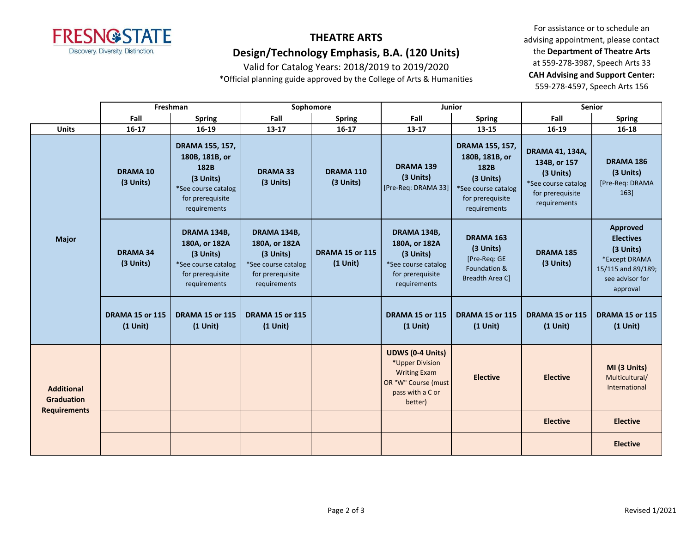

Valid for Catalog Years: 2018/2019 to 2019/2020

\*Official planning guide approved by the College of Arts & Humanities

|                                        |                                      | Freshman<br>Sophomore<br><b>Junior</b>                                                                            |                                                                                                      | <b>Senior</b>                        |                                                                                                                         |                                                                                                                   |                                                                                                                |                                                                                                                 |
|----------------------------------------|--------------------------------------|-------------------------------------------------------------------------------------------------------------------|------------------------------------------------------------------------------------------------------|--------------------------------------|-------------------------------------------------------------------------------------------------------------------------|-------------------------------------------------------------------------------------------------------------------|----------------------------------------------------------------------------------------------------------------|-----------------------------------------------------------------------------------------------------------------|
|                                        | Fall                                 | <b>Spring</b>                                                                                                     | Fall                                                                                                 | <b>Spring</b>                        | Fall                                                                                                                    | <b>Spring</b>                                                                                                     | Fall                                                                                                           | <b>Spring</b>                                                                                                   |
| <b>Units</b>                           | $16 - 17$                            | 16-19                                                                                                             | 13-17                                                                                                | $16 - 17$                            | $13 - 17$                                                                                                               | 13-15                                                                                                             | 16-19                                                                                                          | 16-18                                                                                                           |
|                                        | <b>DRAMA 10</b><br>(3 Units)         | DRAMA 155, 157,<br>180B, 181B, or<br>182B<br>(3 Units)<br>*See course catalog<br>for prerequisite<br>requirements | <b>DRAMA 33</b><br>(3 Units)                                                                         | DRAMA 110<br>(3 Units)               | <b>DRAMA 139</b><br>(3 Units)<br>[Pre-Req: DRAMA 33]                                                                    | DRAMA 155, 157,<br>180B, 181B, or<br>182B<br>(3 Units)<br>*See course catalog<br>for prerequisite<br>requirements | <b>DRAMA 41, 134A,</b><br>134B, or 157<br>(3 Units)<br>*See course catalog<br>for prerequisite<br>requirements | DRAMA 186<br>(3 Units)<br>[Pre-Req: DRAMA<br>163]                                                               |
| <b>Major</b>                           | <b>DRAMA 34</b><br>(3 Units)         | DRAMA 134B,<br>180A, or 182A<br>(3 Units)<br>*See course catalog<br>for prerequisite<br>requirements              | DRAMA 134B,<br>180A, or 182A<br>(3 Units)<br>*See course catalog<br>for prerequisite<br>requirements | <b>DRAMA 15 or 115</b><br>$(1$ Unit) | DRAMA 134B,<br>180A, or 182A<br>(3 Units)<br>*See course catalog<br>for prerequisite<br>requirements                    | <b>DRAMA 163</b><br>(3 Units)<br>[Pre-Req: GE<br>Foundation &<br>Breadth Area C]                                  | <b>DRAMA 185</b><br>$(3$ Units)                                                                                | Approved<br><b>Electives</b><br>(3 Units)<br>*Except DRAMA<br>15/115 and 89/189;<br>see advisor for<br>approval |
|                                        | <b>DRAMA 15 or 115</b><br>$(1$ Unit) | <b>DRAMA 15 or 115</b><br>$(1$ Unit)                                                                              | <b>DRAMA 15 or 115</b><br>$(1$ Unit)                                                                 |                                      | <b>DRAMA 15 or 115</b><br>$(1$ Unit)                                                                                    | <b>DRAMA 15 or 115</b><br>$(1$ Unit)                                                                              | <b>DRAMA 15 or 115</b><br>$(1$ Unit)                                                                           | <b>DRAMA 15 or 115</b><br>$(1$ Unit)                                                                            |
| <b>Additional</b><br><b>Graduation</b> |                                      |                                                                                                                   |                                                                                                      |                                      | <b>UDWS (0-4 Units)</b><br>*Upper Division<br><b>Writing Exam</b><br>OR "W" Course (must<br>pass with a C or<br>better) | <b>Elective</b>                                                                                                   | <b>Elective</b>                                                                                                | MI (3 Units)<br>Multicultural/<br>International                                                                 |
| <b>Requirements</b>                    |                                      |                                                                                                                   |                                                                                                      |                                      |                                                                                                                         |                                                                                                                   | <b>Elective</b>                                                                                                | <b>Elective</b>                                                                                                 |
|                                        |                                      |                                                                                                                   |                                                                                                      |                                      |                                                                                                                         |                                                                                                                   |                                                                                                                | <b>Elective</b>                                                                                                 |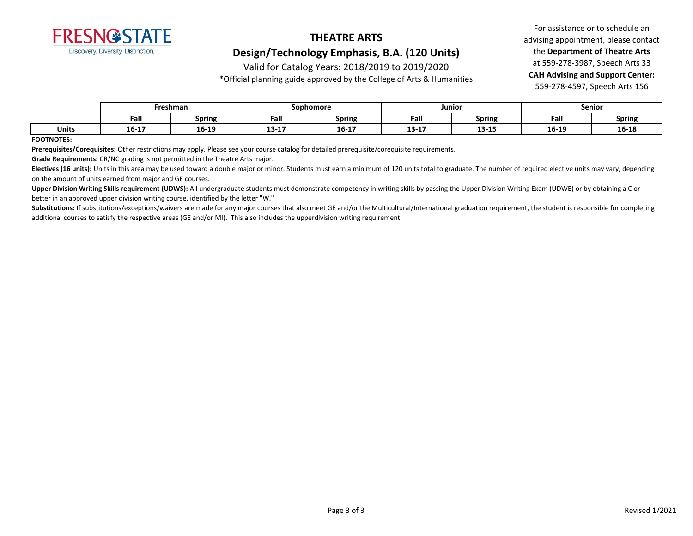

Valid for Catalog Years: 2018/2019 to 2019/2020

\*Official planning guide approved by the College of Arts & Humanities

For assistance or to schedule an advising appointment, please contact the **Department of Theatre Arts** at 559-278-3987, Speech Arts 33 **CAH Advising and Support Center:**  559-278-4597, Speech Arts 156

|              | Freshman |               | Sophomore     |               | Junior         |                 | <b>Senior</b> |               |
|--------------|----------|---------------|---------------|---------------|----------------|-----------------|---------------|---------------|
|              | Fall     | <b>Spring</b> | Fall          | <b>Spring</b> | - -<br>Fall    | <b>Spring</b>   | Fall          | <b>Spring</b> |
| <b>Units</b> | 16-17    | 16-19         | 12.1<br>13-T) | .<br>16-17    | 12.17<br>13-TV | 12. IE<br>כד-כד | 16-19         | 16-18         |

#### **FOOTNOTES:**

**Prerequisites/Corequisites:** Other restrictions may apply. Please see your course catalog for detailed prerequisite/corequisite requirements.

**Grade Requirements:** CR/NC grading is not permitted in the Theatre Arts major.

Electives (16 units): Units in this area may be used toward a double major or minor. Students must earn a minimum of 120 units total to graduate. The number of required elective units may vary, depending on the amount of units earned from major and GE courses.

Upper Division Writing Skills requirement (UDWS): All undergraduate students must demonstrate competency in writing skills by passing the Upper Division Writing Exam (UDWE) or by obtaining a C or better in an approved upper division writing course, identified by the letter "W."

Substitutions: If substitutions/exceptions/waivers are made for any major courses that also meet GE and/or the Multicultural/International graduation requirement, the student is responsible for completing additional courses to satisfy the respective areas (GE and/or MI). This also includes the upperdivision writing requirement.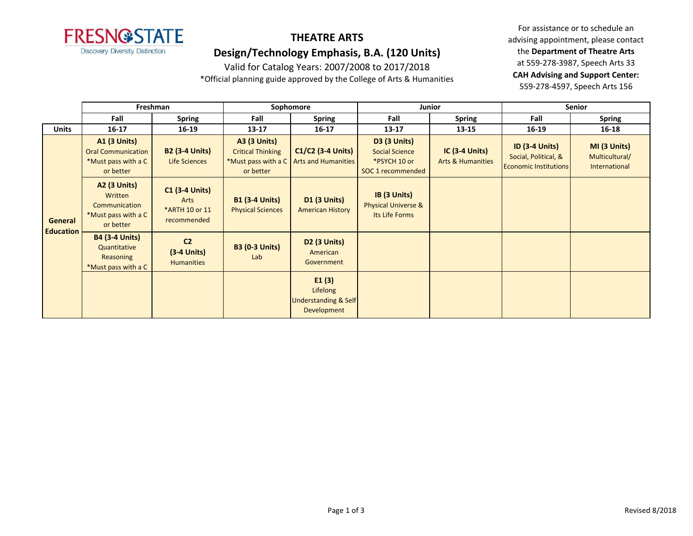

Valid for Catalog Years: 2007/2008 to 2017/2018

\*Official planning guide approved by the College of Arts & Humanities

|                             | Freshman                                                                             |                                                                | Sophomore                                                    |                                                                     | Junior                                                                            |                                                  | <b>Senior</b>                                                                 |                                                 |
|-----------------------------|--------------------------------------------------------------------------------------|----------------------------------------------------------------|--------------------------------------------------------------|---------------------------------------------------------------------|-----------------------------------------------------------------------------------|--------------------------------------------------|-------------------------------------------------------------------------------|-------------------------------------------------|
|                             | Fall                                                                                 | <b>Spring</b>                                                  | Fall                                                         | <b>Spring</b>                                                       | Fall                                                                              | <b>Spring</b>                                    | Fall                                                                          | Spring                                          |
| <b>Units</b>                | $16 - 17$                                                                            | 16-19                                                          | $13 - 17$                                                    | $16 - 17$                                                           | $13 - 17$                                                                         | 13-15                                            | 16-19                                                                         | 16-18                                           |
| General<br><b>Education</b> | <b>A1 (3 Units)</b><br><b>Oral Communication</b><br>*Must pass with a C<br>or better | <b>B2 (3-4 Units)</b><br>Life Sciences                         | <b>A3 (3 Units)</b><br><b>Critical Thinking</b><br>or better | $C1/C2$ (3-4 Units)<br>*Must pass with a C   Arts and Humanities    | <b>D3 (3 Units)</b><br><b>Social Science</b><br>*PSYCH 10 or<br>SOC 1 recommended | $IC$ (3-4 Units)<br><b>Arts &amp; Humanities</b> | <b>ID (3-4 Units)</b><br>Social, Political, &<br><b>Economic Institutions</b> | MI (3 Units)<br>Multicultural/<br>International |
|                             | <b>A2 (3 Units)</b><br>Written<br>Communication<br>*Must pass with a C<br>or better  | <b>C1 (3-4 Units)</b><br>Arts<br>*ARTH 10 or 11<br>recommended | <b>B1 (3-4 Units)</b><br><b>Physical Sciences</b>            | <b>D1 (3 Units)</b><br><b>American History</b>                      | IB (3 Units)<br><b>Physical Universe &amp;</b><br>Its Life Forms                  |                                                  |                                                                               |                                                 |
|                             | <b>B4 (3-4 Units)</b><br>Quantitative<br>Reasoning<br>*Must pass with a C            | C <sub>2</sub><br>$(3-4$ Units)<br><b>Humanities</b>           | <b>B3 (0-3 Units)</b><br>Lab                                 | D <sub>2</sub> (3 Units)<br>American<br>Government                  |                                                                                   |                                                  |                                                                               |                                                 |
|                             |                                                                                      |                                                                |                                                              | E1(3)<br>Lifelong<br><b>Understanding &amp; Self</b><br>Development |                                                                                   |                                                  |                                                                               |                                                 |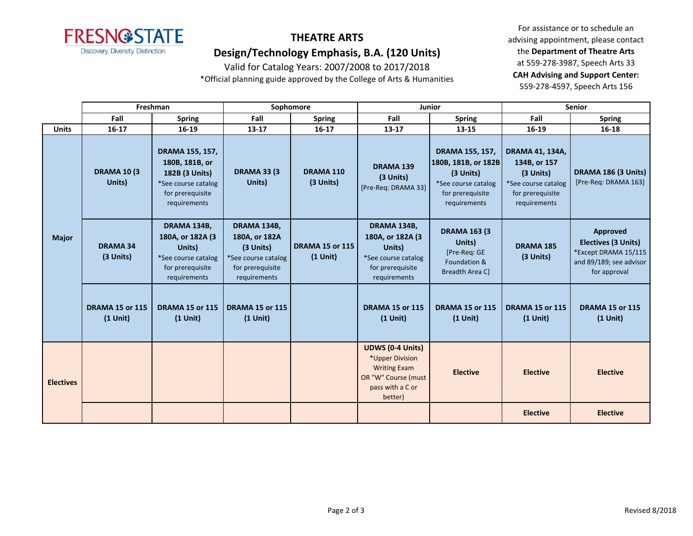

# **THEATRE ARTS**

**Design/Technology Emphasis, B.A. (120 Units)**

Valid for Catalog Years: 2007/2008 to 2017/2018

\*Official planning guide approved by the College of Arts & Humanities

|                  | Freshman                             |                                                                                                                | Sophomore                                                                                            |                                      | <b>Junior</b>                                                                                                           |                                                                                                                | <b>Senior</b>                                                                                                  |                                                                                                    |
|------------------|--------------------------------------|----------------------------------------------------------------------------------------------------------------|------------------------------------------------------------------------------------------------------|--------------------------------------|-------------------------------------------------------------------------------------------------------------------------|----------------------------------------------------------------------------------------------------------------|----------------------------------------------------------------------------------------------------------------|----------------------------------------------------------------------------------------------------|
|                  | Fall                                 | <b>Spring</b>                                                                                                  | Fall                                                                                                 | <b>Spring</b>                        | Fall                                                                                                                    | <b>Spring</b>                                                                                                  | Fall                                                                                                           | <b>Spring</b>                                                                                      |
| <b>Units</b>     | $16 - 17$                            | 16-19                                                                                                          | $13 - 17$                                                                                            | $16 - 17$                            | $13 - 17$                                                                                                               | 13-15                                                                                                          | 16-19                                                                                                          | 16-18                                                                                              |
|                  | <b>DRAMA 10 (3)</b><br>Units)        | DRAMA 155, 157,<br>180B, 181B, or<br>182B (3 Units)<br>*See course catalog<br>for prerequisite<br>requirements | <b>DRAMA 33 (3)</b><br>Units)                                                                        | DRAMA 110<br>(3 Units)               | DRAMA 139<br>(3 Units)<br>[Pre-Req: DRAMA 33]                                                                           | DRAMA 155, 157,<br>180B, 181B, or 182B<br>(3 Units)<br>*See course catalog<br>for prerequisite<br>requirements | <b>DRAMA 41, 134A,</b><br>134B, or 157<br>(3 Units)<br>*See course catalog<br>for prerequisite<br>requirements | DRAMA 186 (3 Units)<br>[Pre-Req: DRAMA 163]                                                        |
| <b>Major</b>     | <b>DRAMA 34</b><br>(3 Units)         | DRAMA 134B,<br>180A, or 182A (3<br>Units)<br>*See course catalog<br>for prerequisite<br>requirements           | DRAMA 134B,<br>180A, or 182A<br>(3 Units)<br>*See course catalog<br>for prerequisite<br>requirements | <b>DRAMA 15 or 115</b><br>$(1$ Unit) | DRAMA 134B,<br>180A, or 182A (3)<br>Units)<br>*See course catalog<br>for prerequisite<br>requirements                   | <b>DRAMA 163 (3</b><br>Units)<br>[Pre-Req: GE<br>Foundation &<br><b>Breadth Area Cl</b>                        | DRAMA 185<br>(3 Units)                                                                                         | Approved<br>Electives (3 Units)<br>*Except DRAMA 15/115<br>and 89/189; see advisor<br>for approval |
|                  | <b>DRAMA 15 or 115</b><br>$(1$ Unit) | <b>DRAMA 15 or 115</b><br>$(1$ Unit)                                                                           | <b>DRAMA 15 or 115</b><br>$(1$ Unit)                                                                 |                                      | <b>DRAMA 15 or 115</b><br>$(1$ Unit)                                                                                    | <b>DRAMA 15 or 115</b><br>$(1$ Unit)                                                                           | <b>DRAMA 15 or 115</b><br>$(1$ Unit)                                                                           | <b>DRAMA 15 or 115</b><br>$(1$ Unit)                                                               |
| <b>Electives</b> |                                      |                                                                                                                |                                                                                                      |                                      | <b>UDWS (0-4 Units)</b><br>*Upper Division<br><b>Writing Exam</b><br>OR "W" Course (must<br>pass with a C or<br>better) | <b>Elective</b>                                                                                                | <b>Elective</b>                                                                                                | <b>Elective</b>                                                                                    |
|                  |                                      |                                                                                                                |                                                                                                      |                                      |                                                                                                                         |                                                                                                                | <b>Elective</b>                                                                                                | <b>Elective</b>                                                                                    |